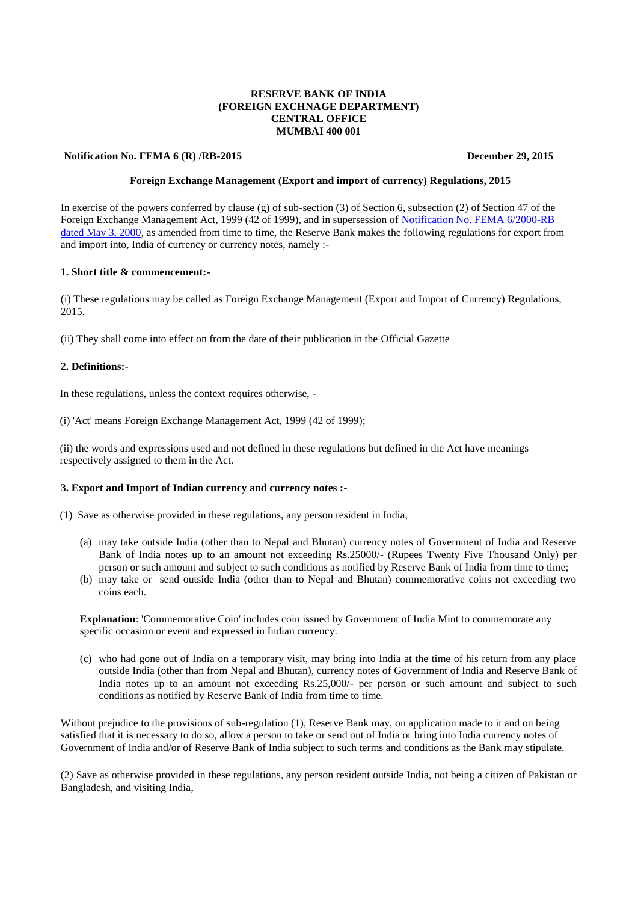# **RESERVE BANK OF INDIA (FOREIGN EXCHNAGE DEPARTMENT) CENTRAL OFFICE MUMBAI 400 001**

#### **Notification No. FEMA 6 (R) /RB-2015 December 29, 2015**

## **Foreign Exchange Management (Export and import of currency) Regulations, 2015**

In exercise of the powers conferred by clause (g) of sub-section (3) of Section 6, subsection (2) of Section 47 of the Foreign Exchange Management Act, 1999 (42 of 1999), and in supersession of [Notification No. FEMA 6/2000-RB](https://www.rbi.org.in/Scripts/NotificationUser.aspx?Id=160&Mode=0)  [dated May 3, 2000,](https://www.rbi.org.in/Scripts/NotificationUser.aspx?Id=160&Mode=0) as amended from time to time, the Reserve Bank makes the following regulations for export from and import into, India of currency or currency notes, namely :-

# **1. Short title & commencement:-**

(i) These regulations may be called as Foreign Exchange Management (Export and Import of Currency) Regulations, 2015.

(ii) They shall come into effect on from the date of their publication in the Official Gazette

### **2. Definitions:-**

In these regulations, unless the context requires otherwise, -

(i) 'Act' means Foreign Exchange Management Act, 1999 (42 of 1999);

(ii) the words and expressions used and not defined in these regulations but defined in the Act have meanings respectively assigned to them in the Act.

# **3. Export and Import of Indian currency and currency notes :-**

(1) Save as otherwise provided in these regulations, any person resident in India,

- (a) may take outside India (other than to Nepal and Bhutan) currency notes of Government of India and Reserve Bank of India notes up to an amount not exceeding Rs.25000/- (Rupees Twenty Five Thousand Only) per person or such amount and subject to such conditions as notified by Reserve Bank of India from time to time;
- (b) may take or send outside India (other than to Nepal and Bhutan) commemorative coins not exceeding two coins each.

**Explanation**: 'Commemorative Coin' includes coin issued by Government of India Mint to commemorate any specific occasion or event and expressed in Indian currency.

(c) who had gone out of India on a temporary visit, may bring into India at the time of his return from any place outside India (other than from Nepal and Bhutan), currency notes of Government of India and Reserve Bank of India notes up to an amount not exceeding Rs.25,000/- per person or such amount and subject to such conditions as notified by Reserve Bank of India from time to time.

Without prejudice to the provisions of sub-regulation (1), Reserve Bank may, on application made to it and on being satisfied that it is necessary to do so, allow a person to take or send out of India or bring into India currency notes of Government of India and/or of Reserve Bank of India subject to such terms and conditions as the Bank may stipulate.

(2) Save as otherwise provided in these regulations, any person resident outside India, not being a citizen of Pakistan or Bangladesh, and visiting India,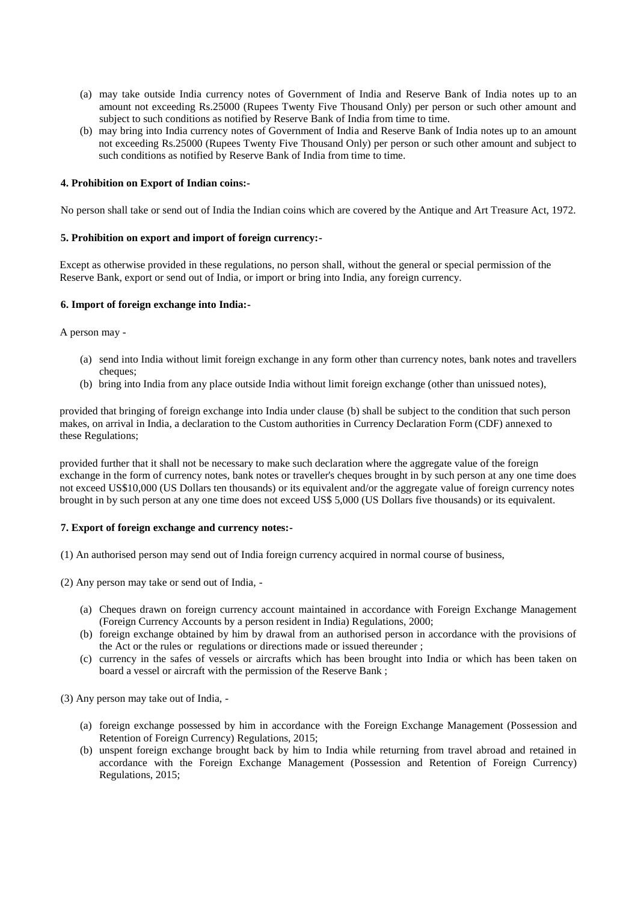- (a) may take outside India currency notes of Government of India and Reserve Bank of India notes up to an amount not exceeding Rs.25000 (Rupees Twenty Five Thousand Only) per person or such other amount and subject to such conditions as notified by Reserve Bank of India from time to time.
- (b) may bring into India currency notes of Government of India and Reserve Bank of India notes up to an amount not exceeding Rs.25000 (Rupees Twenty Five Thousand Only) per person or such other amount and subject to such conditions as notified by Reserve Bank of India from time to time.

# **4. Prohibition on Export of Indian coins:-**

No person shall take or send out of India the Indian coins which are covered by the Antique and Art Treasure Act, 1972.

### **5. Prohibition on export and import of foreign currency:-**

Except as otherwise provided in these regulations, no person shall, without the general or special permission of the Reserve Bank, export or send out of India, or import or bring into India, any foreign currency.

# **6. Import of foreign exchange into India:-**

A person may -

- (a) send into India without limit foreign exchange in any form other than currency notes, bank notes and travellers cheques:
- (b) bring into India from any place outside India without limit foreign exchange (other than unissued notes),

provided that bringing of foreign exchange into India under clause (b) shall be subject to the condition that such person makes, on arrival in India, a declaration to the Custom authorities in Currency Declaration Form (CDF) annexed to these Regulations;

provided further that it shall not be necessary to make such declaration where the aggregate value of the foreign exchange in the form of currency notes, bank notes or traveller's cheques brought in by such person at any one time does not exceed US\$10,000 (US Dollars ten thousands) or its equivalent and/or the aggregate value of foreign currency notes brought in by such person at any one time does not exceed US\$ 5,000 (US Dollars five thousands) or its equivalent.

#### **7. Export of foreign exchange and currency notes:-**

(1) An authorised person may send out of India foreign currency acquired in normal course of business,

(2) Any person may take or send out of India, -

- (a) Cheques drawn on foreign currency account maintained in accordance with Foreign Exchange Management (Foreign Currency Accounts by a person resident in India) Regulations, 2000;
- (b) foreign exchange obtained by him by drawal from an authorised person in accordance with the provisions of the Act or the rules or regulations or directions made or issued thereunder ;
- (c) currency in the safes of vessels or aircrafts which has been brought into India or which has been taken on board a vessel or aircraft with the permission of the Reserve Bank ;

(3) Any person may take out of India, -

- (a) foreign exchange possessed by him in accordance with the Foreign Exchange Management (Possession and Retention of Foreign Currency) Regulations, 2015;
- (b) unspent foreign exchange brought back by him to India while returning from travel abroad and retained in accordance with the Foreign Exchange Management (Possession and Retention of Foreign Currency) Regulations, 2015;